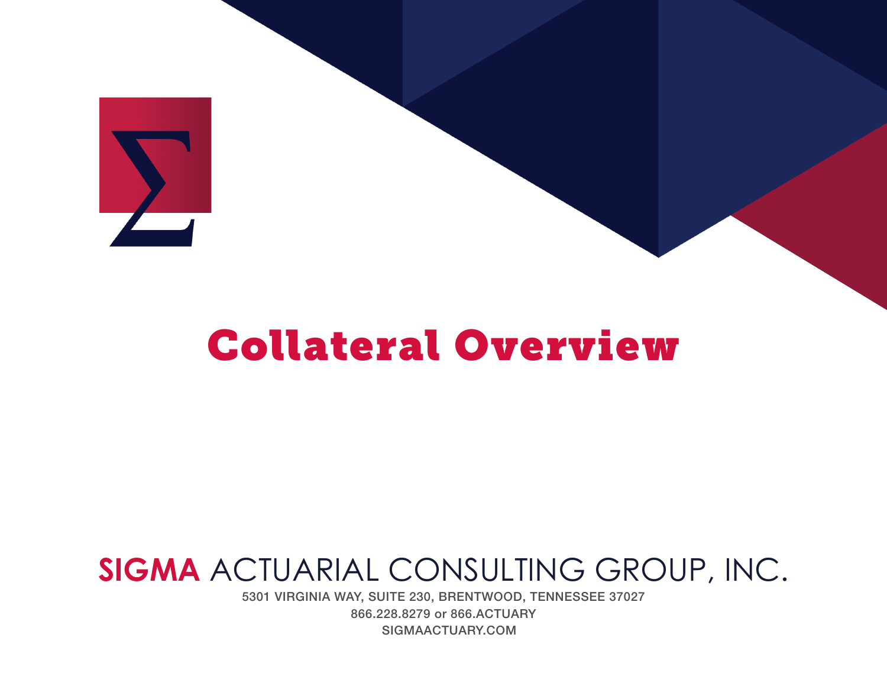

# Collateral Overview

## **SIGMA** ACTUARIAL CONSULTING GROUP, INC.

5301 VIRGINIA WAY, SUITE 230, BRENTWOOD, TENNESSEE 37027 866.228.8279 or 866.ACTUARY SIGMAACTUARY.COM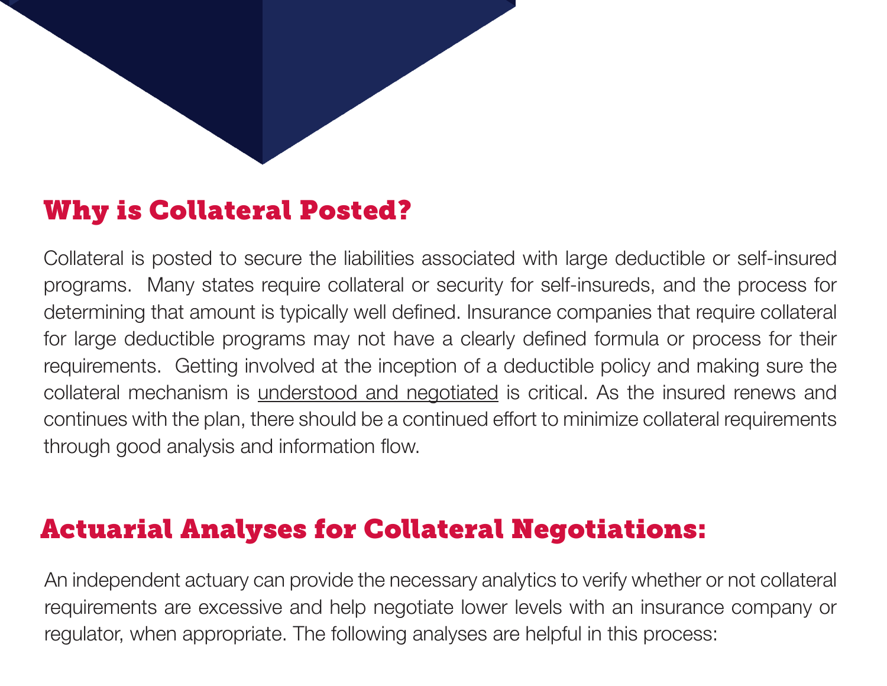## Why is Collateral Posted?

Collateral is posted to secure the liabilities associated with large deductible or self-insured programs. Many states require collateral or security for self-insureds, and the process for determining that amount is typically well defined. Insurance companies that require collateral for large deductible programs may not have a clearly defined formula or process for their requirements. Getting involved at the inception of a deductible policy and making sure the collateral mechanism is understood and negotiated is critical. As the insured renews and continues with the plan, there should be a continued effort to minimize collateral requirements through good analysis and information flow.

### Actuarial Analyses for Collateral Negotiations:

An independent actuary can provide the necessary analytics to verify whether or not collateral requirements are excessive and help negotiate lower levels with an insurance company or regulator, when appropriate. The following analyses are helpful in this process: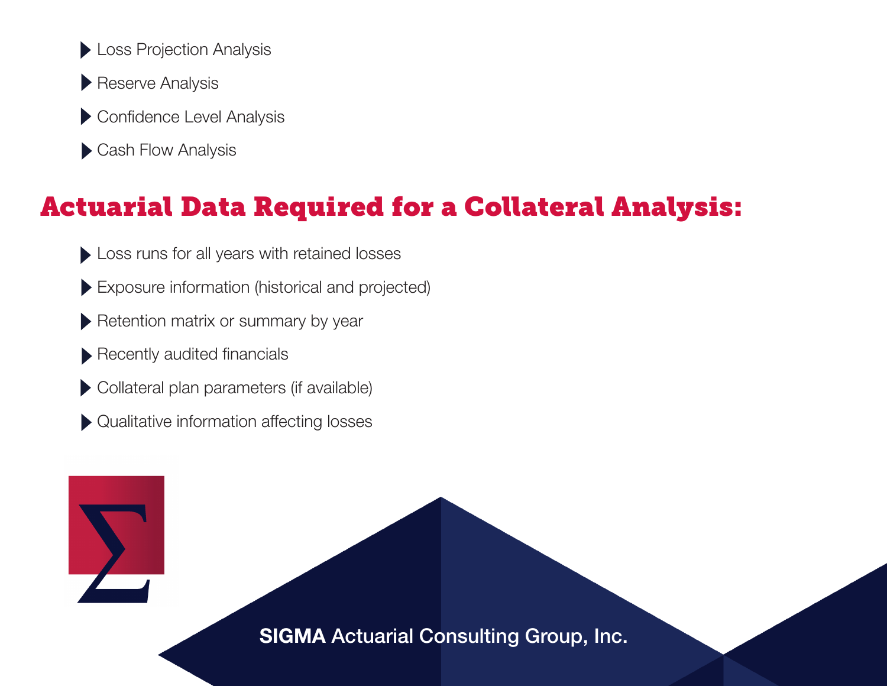- **Loss Projection Analysis**
- Reserve Analysis
- Confidence Level Analysis
- Cash Flow Analysis

## Actuarial Data Required for a Collateral Analysis:

- Loss runs for all years with retained losses
- Exposure information (historical and projected)
- Retention matrix or summary by year
- Recently audited financials
- Collateral plan parameters (if available)
- Qualitative information affecting losses

SIGMA Actuarial Consulting Group, Inc.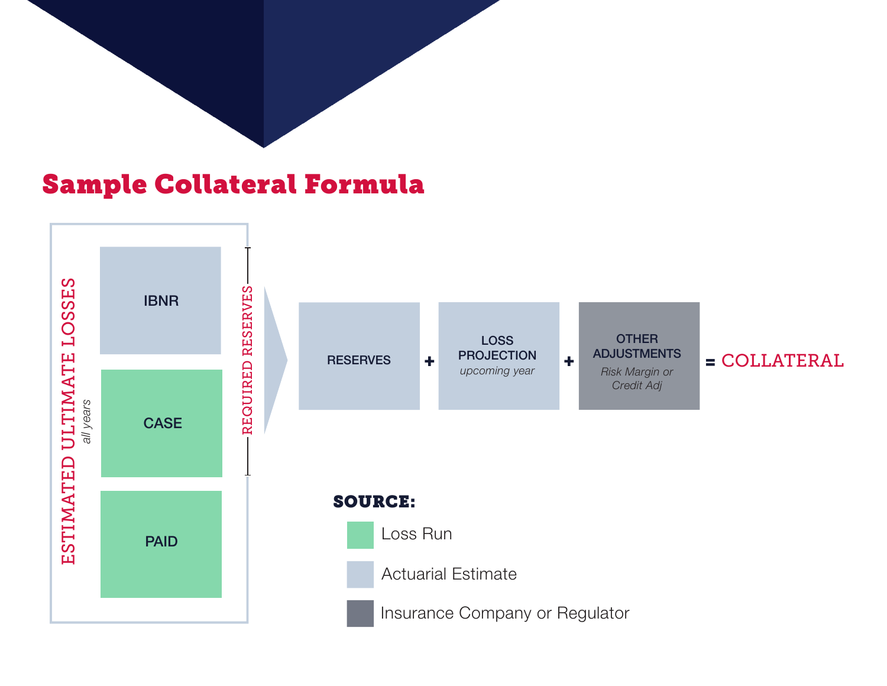### Sample Collateral Formula

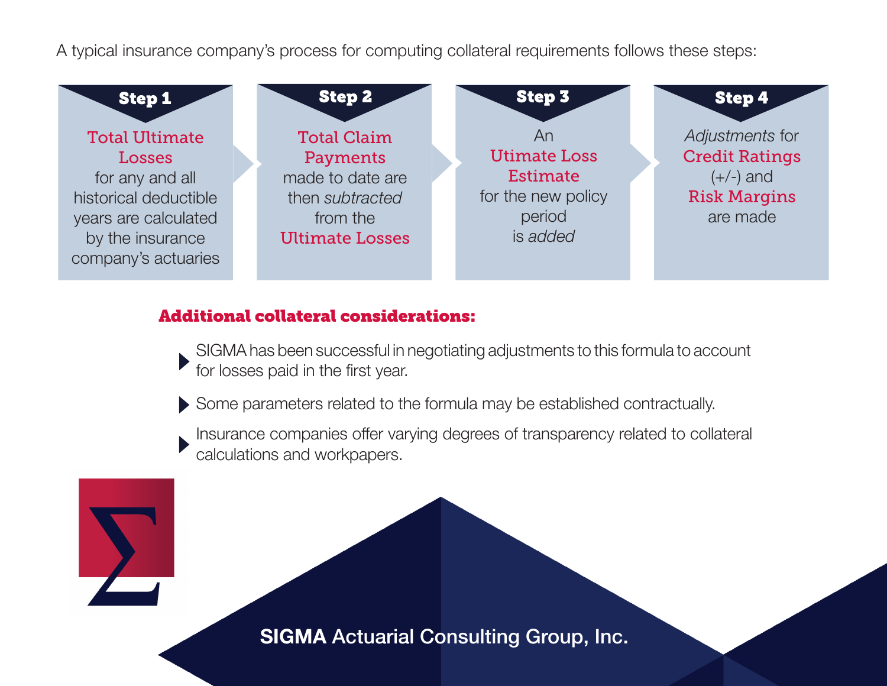A typical insurance company's process for computing collateral requirements follows these steps:



#### Additional collateral considerations:

SIGMA has been successful in negotiating adjustments to this formula to account for losses paid in the first year.

Some parameters related to the formula may be established contractually.

Insurance companies offer varying degrees of transparency related to collateral calculations and workpapers.

SIGMA Actuarial Consulting Group, Inc.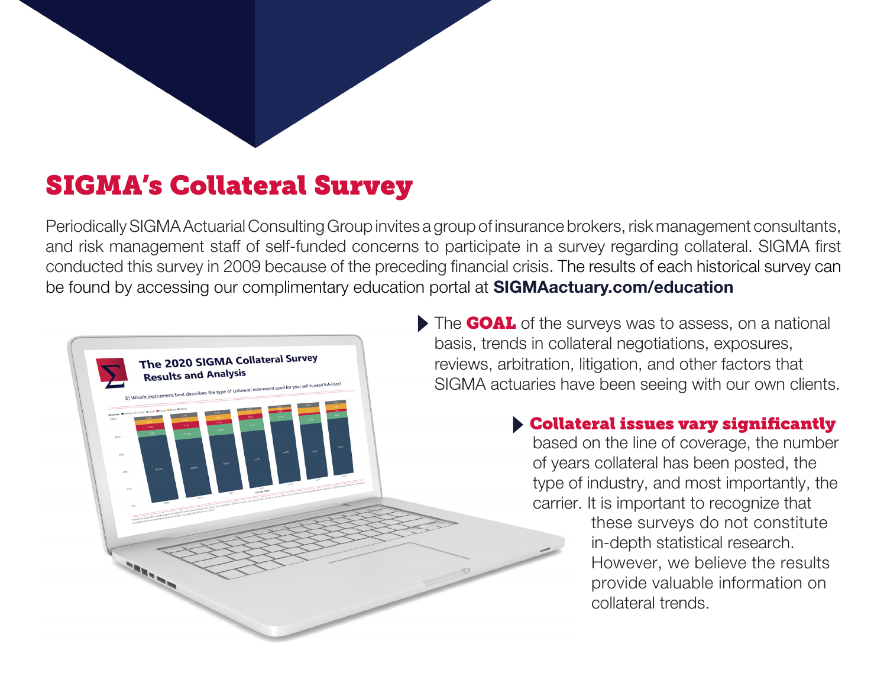## SIGMA's Collateral Survey

Periodically SIGMA Actuarial Consulting Group invites a group of insurance brokers, risk management consultants, and risk management staff of self-funded concerns to participate in a survey regarding collateral. SIGMA first conducted this survey in 2009 because of the preceding financial crisis. The results of each historical survey can be found by accessing our complimentary education portal at SIGMAactuary.com/education



The **GOAL** of the surveys was to assess, on a national basis, trends in collateral negotiations, exposures, reviews, arbitration, litigation, and other factors that SIGMA actuaries have been seeing with our own clients.

#### Collateral issues vary significantly

based on the line of coverage, the number of years collateral has been posted, the type of industry, and most importantly, the carrier. It is important to recognize that

these surveys do not constitute in-depth statistical research. However, we believe the results provide valuable information on collateral trends.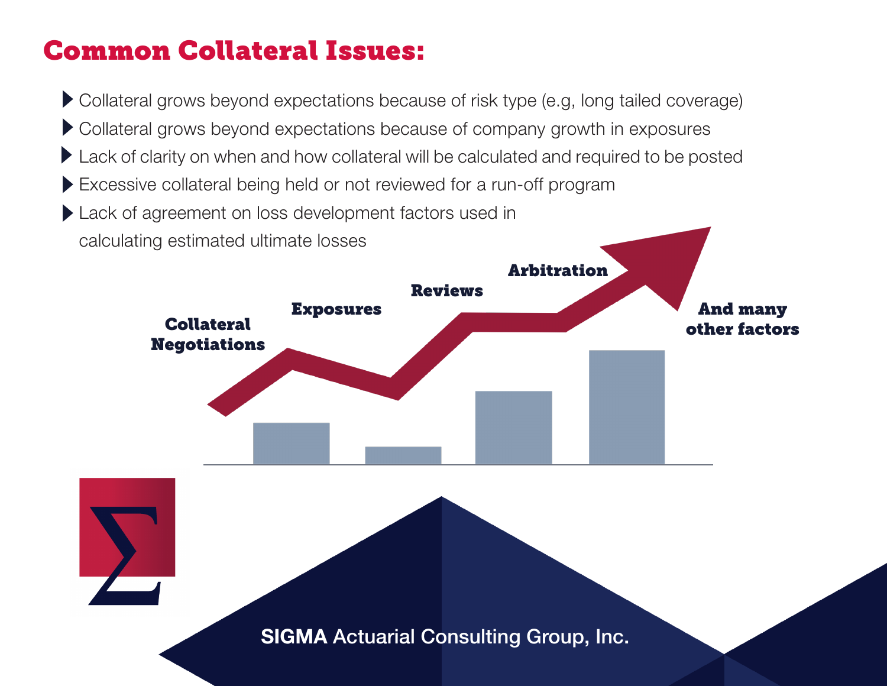## Common Collateral Issues:

Collateral grows beyond expectations because of risk type (e.g, long tailed coverage)

- Collateral grows beyond expectations because of company growth in exposures
- **Lack of clarity on when and how collateral will be calculated and required to be posted**
- Excessive collateral being held or not reviewed for a run-off program
- Lack of agreement on loss development factors used in calculating estimated ultimate losses



SIGMA Actuarial Consulting Group, Inc. SIGMA Actuarial Consulting Group, Inc.